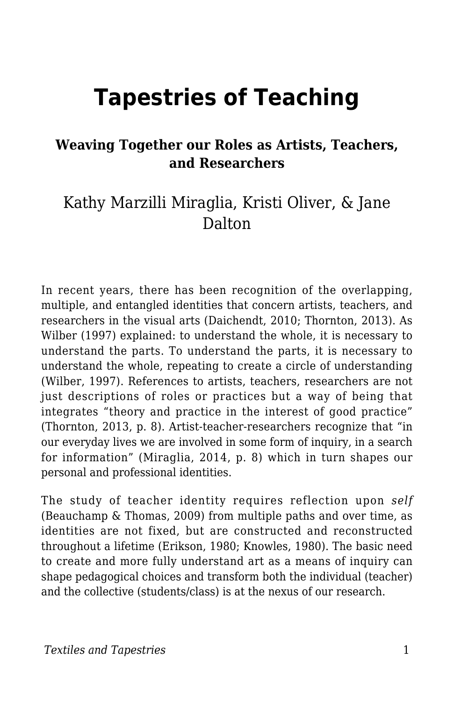# **Tapestries of Teaching**

#### **Weaving Together our Roles as Artists, Teachers, and Researchers**

### Kathy Marzilli Miraglia, Kristi Oliver, & Jane Dalton

In recent years, there has been recognition of the overlapping, multiple, and entangled identities that concern artists, teachers, and researchers in the visual arts (Daichendt, 2010; Thornton, 2013). As Wilber (1997) explained: to understand the whole, it is necessary to understand the parts. To understand the parts, it is necessary to understand the whole, repeating to create a circle of understanding (Wilber, 1997). References to artists, teachers, researchers are not just descriptions of roles or practices but a way of being that integrates "theory and practice in the interest of good practice" (Thornton, 2013, p. 8). Artist-teacher-researchers recognize that "in our everyday lives we are involved in some form of inquiry, in a search for information" (Miraglia, 2014, p. 8) which in turn shapes our personal and professional identities.

The study of teacher identity requires reflection upon *self* (Beauchamp & Thomas, 2009) from multiple paths and over time, as identities are not fixed, but are constructed and reconstructed throughout a lifetime (Erikson, 1980; Knowles, 1980). The basic need to create and more fully understand art as a means of inquiry can shape pedagogical choices and transform both the individual (teacher) and the collective (students/class) is at the nexus of our research.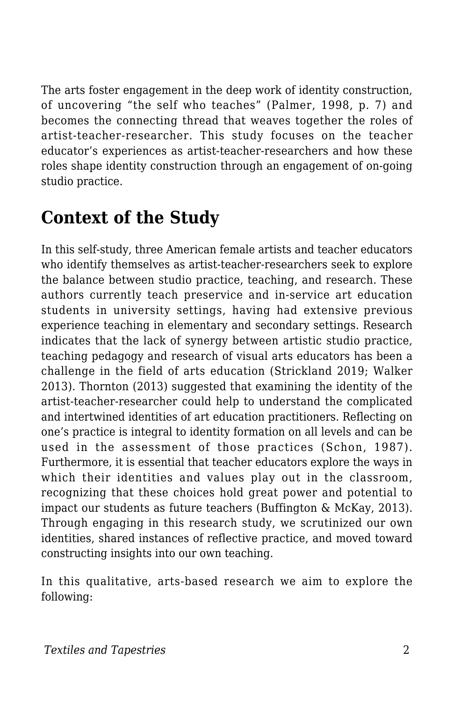The arts foster engagement in the deep work of identity construction, of uncovering "the self who teaches" (Palmer, 1998, p. 7) and becomes the connecting thread that weaves together the roles of artist-teacher-researcher. This study focuses on the teacher educator's experiences as artist-teacher-researchers and how these roles shape identity construction through an engagement of on-going studio practice.

### **Context of the Study**

In this self-study, three American female artists and teacher educators who identify themselves as artist-teacher-researchers seek to explore the balance between studio practice, teaching, and research. These authors currently teach preservice and in-service art education students in university settings, having had extensive previous experience teaching in elementary and secondary settings. Research indicates that the lack of synergy between artistic studio practice, teaching pedagogy and research of visual arts educators has been a challenge in the field of arts education (Strickland 2019; Walker 2013). Thornton (2013) suggested that examining the identity of the artist-teacher-researcher could help to understand the complicated and intertwined identities of art education practitioners. Reflecting on one's practice is integral to identity formation on all levels and can be used in the assessment of those practices (Schon, 1987). Furthermore, it is essential that teacher educators explore the ways in which their identities and values play out in the classroom, recognizing that these choices hold great power and potential to impact our students as future teachers (Buffington & McKay, 2013). Through engaging in this research study, we scrutinized our own identities, shared instances of reflective practice, and moved toward constructing insights into our own teaching.

In this qualitative, arts-based research we aim to explore the following: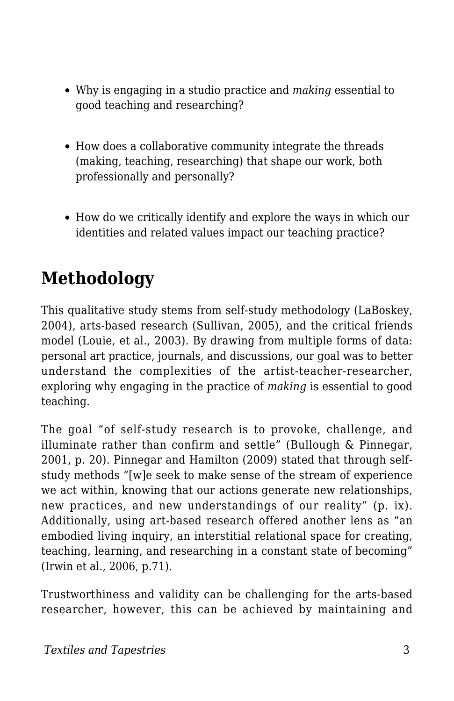- Why is engaging in a studio practice and *making* essential to good teaching and researching?
- How does a collaborative community integrate the threads (making, teaching, researching) that shape our work, both professionally and personally?
- How do we critically identify and explore the ways in which our identities and related values impact our teaching practice?

### **Methodology**

This qualitative study stems from self-study methodology (LaBoskey, 2004), arts-based research (Sullivan, 2005), and the critical friends model (Louie, et al., 2003). By drawing from multiple forms of data: personal art practice, journals, and discussions, our goal was to better understand the complexities of the artist-teacher-researcher, exploring why engaging in the practice of *making* is essential to good teaching.

The goal "of self-study research is to provoke, challenge, and illuminate rather than confirm and settle" (Bullough & Pinnegar, 2001, p. 20). Pinnegar and Hamilton (2009) stated that through selfstudy methods "[w]e seek to make sense of the stream of experience we act within, knowing that our actions generate new relationships, new practices, and new understandings of our reality" (p. ix). Additionally, using art-based research offered another lens as "an embodied living inquiry, an interstitial relational space for creating, teaching, learning, and researching in a constant state of becoming" (Irwin et al., 2006, p.71).

Trustworthiness and validity can be challenging for the arts-based researcher, however, this can be achieved by maintaining and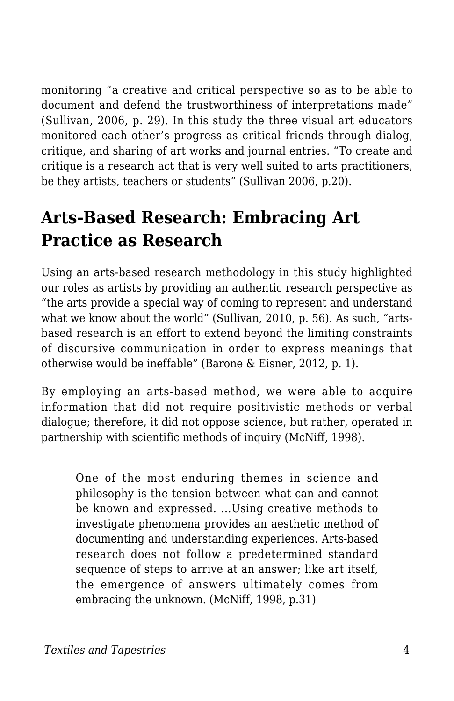monitoring "a creative and critical perspective so as to be able to document and defend the trustworthiness of interpretations made" (Sullivan, 2006, p. 29). In this study the three visual art educators monitored each other's progress as critical friends through dialog, critique, and sharing of art works and journal entries. "To create and critique is a research act that is very well suited to arts practitioners, be they artists, teachers or students" (Sullivan 2006, p.20).

### **Arts-Based Research: Embracing Art Practice as Research**

Using an arts-based research methodology in this study highlighted our roles as artists by providing an authentic research perspective as "the arts provide a special way of coming to represent and understand what we know about the world" (Sullivan, 2010, p. 56). As such, "artsbased research is an effort to extend beyond the limiting constraints of discursive communication in order to express meanings that otherwise would be ineffable" (Barone & Eisner, 2012, p. 1).

By employing an arts-based method, we were able to acquire information that did not require positivistic methods or verbal dialogue; therefore, it did not oppose science, but rather, operated in partnership with scientific methods of inquiry (McNiff, 1998).

One of the most enduring themes in science and philosophy is the tension between what can and cannot be known and expressed. …Using creative methods to investigate phenomena provides an aesthetic method of documenting and understanding experiences. Arts-based research does not follow a predetermined standard sequence of steps to arrive at an answer; like art itself, the emergence of answers ultimately comes from embracing the unknown. (McNiff, 1998, p.31)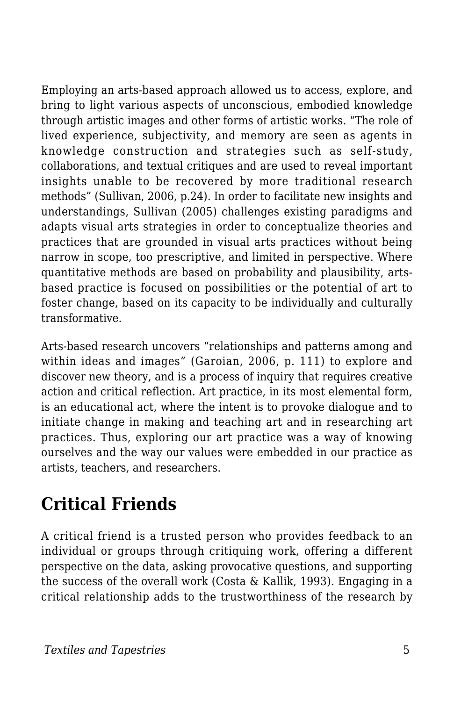Employing an arts-based approach allowed us to access, explore, and bring to light various aspects of unconscious, embodied knowledge through artistic images and other forms of artistic works. "The role of lived experience, subjectivity, and memory are seen as agents in knowledge construction and strategies such as self-study, collaborations, and textual critiques and are used to reveal important insights unable to be recovered by more traditional research methods" (Sullivan, 2006, p.24). In order to facilitate new insights and understandings, Sullivan (2005) challenges existing paradigms and adapts visual arts strategies in order to conceptualize theories and practices that are grounded in visual arts practices without being narrow in scope, too prescriptive, and limited in perspective. Where quantitative methods are based on probability and plausibility, artsbased practice is focused on possibilities or the potential of art to foster change, based on its capacity to be individually and culturally transformative.

Arts-based research uncovers "relationships and patterns among and within ideas and images" (Garoian, 2006, p. 111) to explore and discover new theory, and is a process of inquiry that requires creative action and critical reflection. Art practice, in its most elemental form, is an educational act, where the intent is to provoke dialogue and to initiate change in making and teaching art and in researching art practices. Thus, exploring our art practice was a way of knowing ourselves and the way our values were embedded in our practice as artists, teachers, and researchers.

### **Critical Friends**

A critical friend is a trusted person who provides feedback to an individual or groups through critiquing work, offering a different perspective on the data, asking provocative questions, and supporting the success of the overall work (Costa & Kallik, 1993). Engaging in a critical relationship adds to the trustworthiness of the research by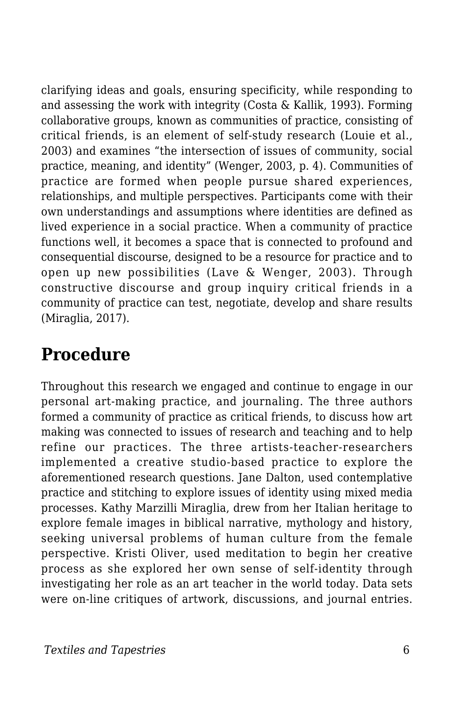clarifying ideas and goals, ensuring specificity, while responding to and assessing the work with integrity (Costa & Kallik, 1993). Forming collaborative groups, known as communities of practice, consisting of critical friends, is an element of self-study research (Louie et al., 2003) and examines "the intersection of issues of community, social practice, meaning, and identity" (Wenger, 2003, p. 4). Communities of practice are formed when people pursue shared experiences, relationships, and multiple perspectives. Participants come with their own understandings and assumptions where identities are defined as lived experience in a social practice. When a community of practice functions well, it becomes a space that is connected to profound and consequential discourse, designed to be a resource for practice and to open up new possibilities (Lave & Wenger, 2003). Through constructive discourse and group inquiry critical friends in a community of practice can test, negotiate, develop and share results (Miraglia, 2017).

### **Procedure**

Throughout this research we engaged and continue to engage in our personal art-making practice, and journaling. The three authors formed a community of practice as critical friends, to discuss how art making was connected to issues of research and teaching and to help refine our practices. The three artists-teacher-researchers implemented a creative studio-based practice to explore the aforementioned research questions. Jane Dalton, used contemplative practice and stitching to explore issues of identity using mixed media processes. Kathy Marzilli Miraglia, drew from her Italian heritage to explore female images in biblical narrative, mythology and history, seeking universal problems of human culture from the female perspective. Kristi Oliver, used meditation to begin her creative process as she explored her own sense of self-identity through investigating her role as an art teacher in the world today. Data sets were on-line critiques of artwork, discussions, and journal entries.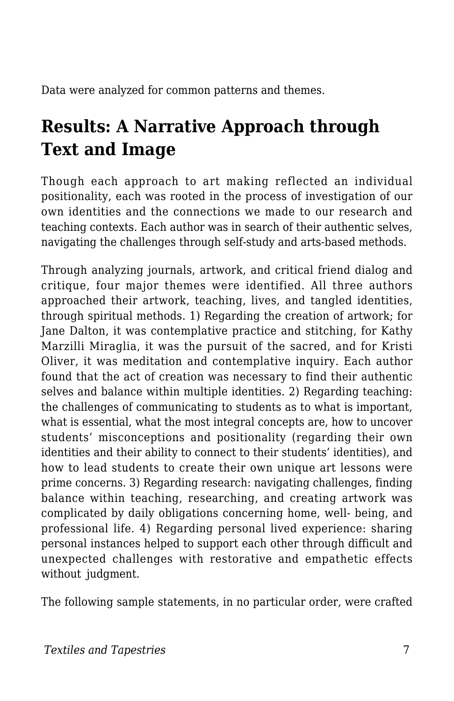Data were analyzed for common patterns and themes.

## **Results: A Narrative Approach through Text and Image**

Though each approach to art making reflected an individual positionality, each was rooted in the process of investigation of our own identities and the connections we made to our research and teaching contexts. Each author was in search of their authentic selves, navigating the challenges through self-study and arts-based methods.

Through analyzing journals, artwork, and critical friend dialog and critique, four major themes were identified. All three authors approached their artwork, teaching, lives, and tangled identities, through spiritual methods. 1) Regarding the creation of artwork; for Jane Dalton, it was contemplative practice and stitching, for Kathy Marzilli Miraglia, it was the pursuit of the sacred, and for Kristi Oliver, it was meditation and contemplative inquiry. Each author found that the act of creation was necessary to find their authentic selves and balance within multiple identities. 2) Regarding teaching: the challenges of communicating to students as to what is important, what is essential, what the most integral concepts are, how to uncover students' misconceptions and positionality (regarding their own identities and their ability to connect to their students' identities), and how to lead students to create their own unique art lessons were prime concerns. 3) Regarding research: navigating challenges, finding balance within teaching, researching, and creating artwork was complicated by daily obligations concerning home, well- being, and professional life. 4) Regarding personal lived experience: sharing personal instances helped to support each other through difficult and unexpected challenges with restorative and empathetic effects without judgment.

The following sample statements, in no particular order, were crafted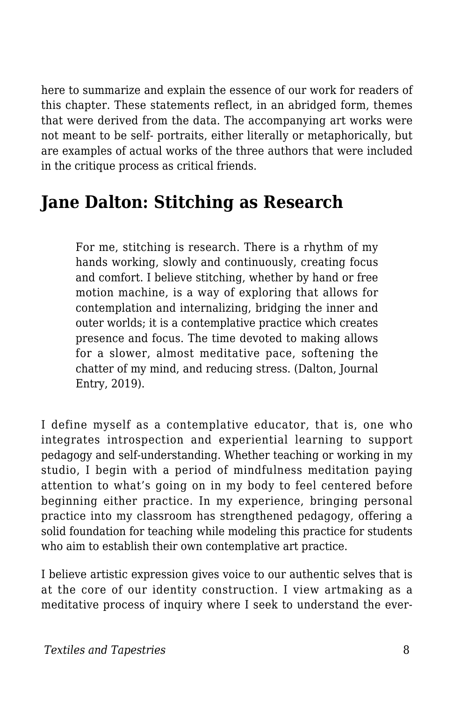here to summarize and explain the essence of our work for readers of this chapter. These statements reflect, in an abridged form, themes that were derived from the data. The accompanying art works were not meant to be self- portraits, either literally or metaphorically, but are examples of actual works of the three authors that were included in the critique process as critical friends.

### **Jane Dalton: Stitching as Research**

For me, stitching is research. There is a rhythm of my hands working, slowly and continuously, creating focus and comfort. I believe stitching, whether by hand or free motion machine, is a way of exploring that allows for contemplation and internalizing, bridging the inner and outer worlds; it is a contemplative practice which creates presence and focus. The time devoted to making allows for a slower, almost meditative pace, softening the chatter of my mind, and reducing stress. (Dalton, Journal Entry, 2019).

I define myself as a contemplative educator, that is, one who integrates introspection and experiential learning to support pedagogy and self-understanding. Whether teaching or working in my studio, I begin with a period of mindfulness meditation paying attention to what's going on in my body to feel centered before beginning either practice. In my experience, bringing personal practice into my classroom has strengthened pedagogy, offering a solid foundation for teaching while modeling this practice for students who aim to establish their own contemplative art practice.

I believe artistic expression gives voice to our authentic selves that is at the core of our identity construction. I view artmaking as a meditative process of inquiry where I seek to understand the ever-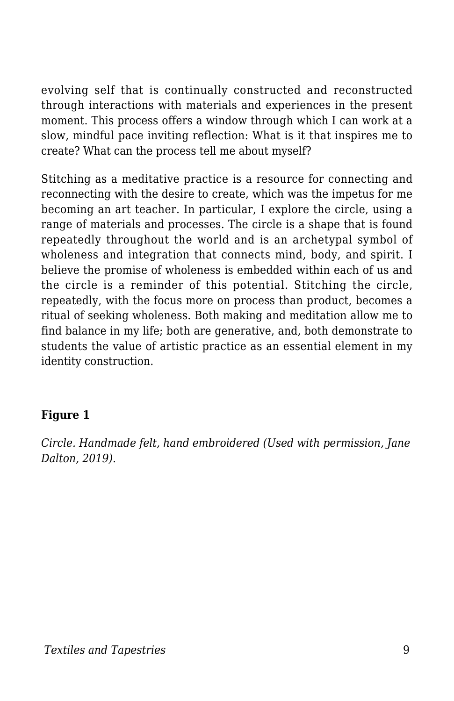evolving self that is continually constructed and reconstructed through interactions with materials and experiences in the present moment. This process offers a window through which I can work at a slow, mindful pace inviting reflection: What is it that inspires me to create? What can the process tell me about myself?

Stitching as a meditative practice is a resource for connecting and reconnecting with the desire to create, which was the impetus for me becoming an art teacher. In particular, I explore the circle, using a range of materials and processes. The circle is a shape that is found repeatedly throughout the world and is an archetypal symbol of wholeness and integration that connects mind, body, and spirit. I believe the promise of wholeness is embedded within each of us and the circle is a reminder of this potential. Stitching the circle, repeatedly, with the focus more on process than product, becomes a ritual of seeking wholeness. Both making and meditation allow me to find balance in my life; both are generative, and, both demonstrate to students the value of artistic practice as an essential element in my identity construction.

#### **Figure 1**

*Circle. Handmade felt, hand embroidered (Used with permission, Jane Dalton, 2019).*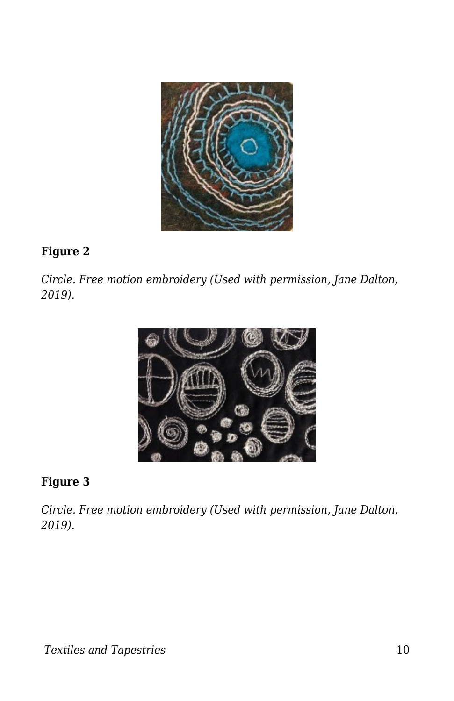

#### **Figure 2**

*Circle. Free motion embroidery (Used with permission, Jane Dalton, 2019).*



#### **Figure 3**

*Circle. Free motion embroidery (Used with permission, Jane Dalton, 2019).*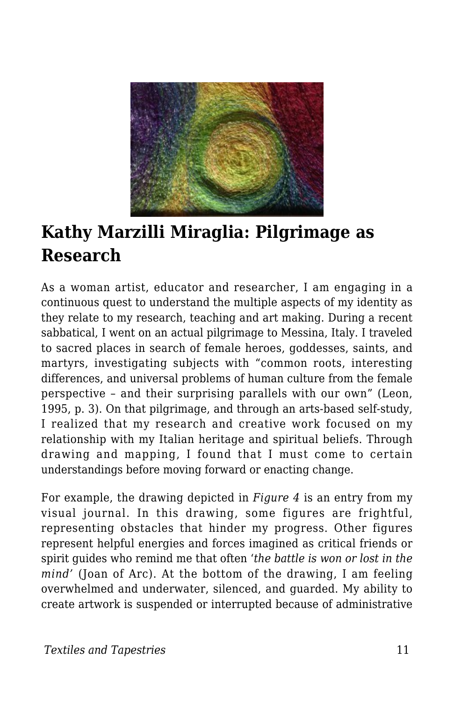

### **Kathy Marzilli Miraglia: Pilgrimage as Research**

As a woman artist, educator and researcher, I am engaging in a continuous quest to understand the multiple aspects of my identity as they relate to my research, teaching and art making. During a recent sabbatical, I went on an actual pilgrimage to Messina, Italy. I traveled to sacred places in search of female heroes, goddesses, saints, and martyrs, investigating subjects with "common roots, interesting differences, and universal problems of human culture from the female perspective – and their surprising parallels with our own" (Leon, 1995, p. 3). On that pilgrimage, and through an arts-based self-study, I realized that my research and creative work focused on my relationship with my Italian heritage and spiritual beliefs. Through drawing and mapping, I found that I must come to certain understandings before moving forward or enacting change.

For example, the drawing depicted in *Figure 4* is an entry from my visual journal. In this drawing, some figures are frightful, representing obstacles that hinder my progress. Other figures represent helpful energies and forces imagined as critical friends or spirit guides who remind me that often '*the battle is won or lost in the mind'* (Joan of Arc). At the bottom of the drawing, I am feeling overwhelmed and underwater, silenced, and guarded. My ability to create artwork is suspended or interrupted because of administrative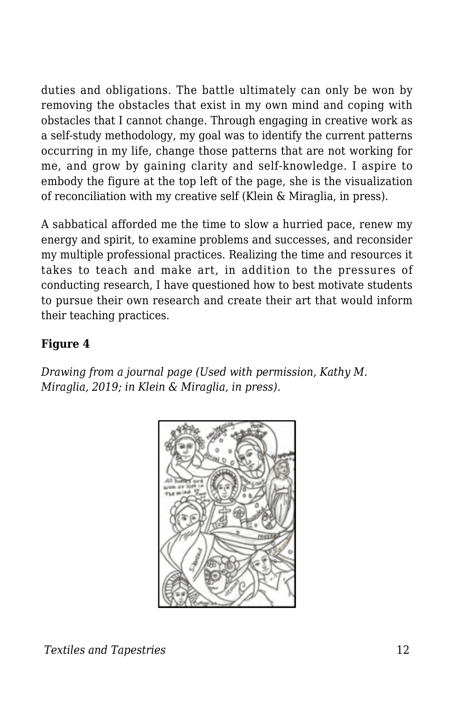duties and obligations. The battle ultimately can only be won by removing the obstacles that exist in my own mind and coping with obstacles that I cannot change. Through engaging in creative work as a self-study methodology, my goal was to identify the current patterns occurring in my life, change those patterns that are not working for me, and grow by gaining clarity and self-knowledge. I aspire to embody the figure at the top left of the page, she is the visualization of reconciliation with my creative self (Klein & Miraglia, in press).

A sabbatical afforded me the time to slow a hurried pace, renew my energy and spirit, to examine problems and successes, and reconsider my multiple professional practices. Realizing the time and resources it takes to teach and make art, in addition to the pressures of conducting research, I have questioned how to best motivate students to pursue their own research and create their art that would inform their teaching practices.

#### **Figure 4**

*Drawing from a journal page (Used with permission, Kathy M. Miraglia, 2019; in Klein & Miraglia, in press).*

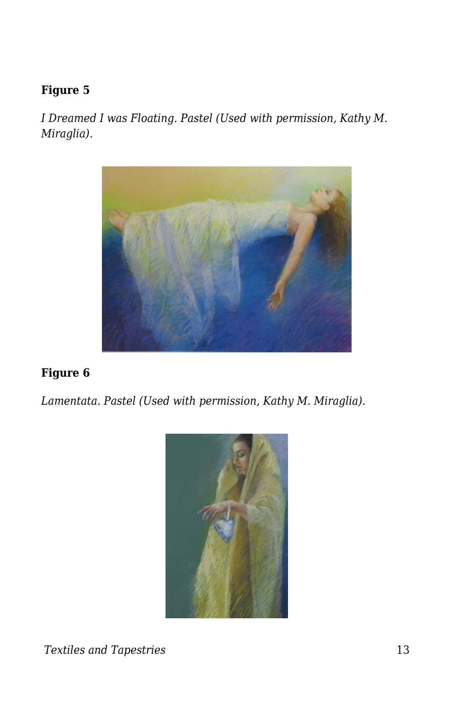#### **Figure 5**

*I Dreamed I was Floating. Pastel (Used with permission, Kathy M. Miraglia).*



#### **Figure 6**

*Lamentata. Pastel (Used with permission, Kathy M. Miraglia).*

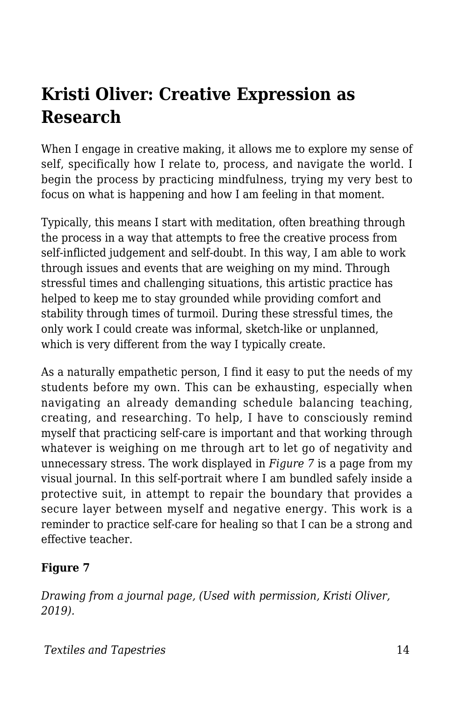### **Kristi Oliver: Creative Expression as Research**

When I engage in creative making, it allows me to explore my sense of self, specifically how I relate to, process, and navigate the world. I begin the process by practicing mindfulness, trying my very best to focus on what is happening and how I am feeling in that moment.

Typically, this means I start with meditation, often breathing through the process in a way that attempts to free the creative process from self-inflicted judgement and self-doubt. In this way, I am able to work through issues and events that are weighing on my mind. Through stressful times and challenging situations, this artistic practice has helped to keep me to stay grounded while providing comfort and stability through times of turmoil. During these stressful times, the only work I could create was informal, sketch-like or unplanned, which is very different from the way I typically create.

As a naturally empathetic person, I find it easy to put the needs of my students before my own. This can be exhausting, especially when navigating an already demanding schedule balancing teaching, creating, and researching. To help, I have to consciously remind myself that practicing self-care is important and that working through whatever is weighing on me through art to let go of negativity and unnecessary stress. The work displayed in *Figure 7* is a page from my visual journal. In this self-portrait where I am bundled safely inside a protective suit, in attempt to repair the boundary that provides a secure layer between myself and negative energy. This work is a reminder to practice self-care for healing so that I can be a strong and effective teacher.

#### **Figure 7**

*Drawing from a journal page, (Used with permission, Kristi Oliver, 2019).*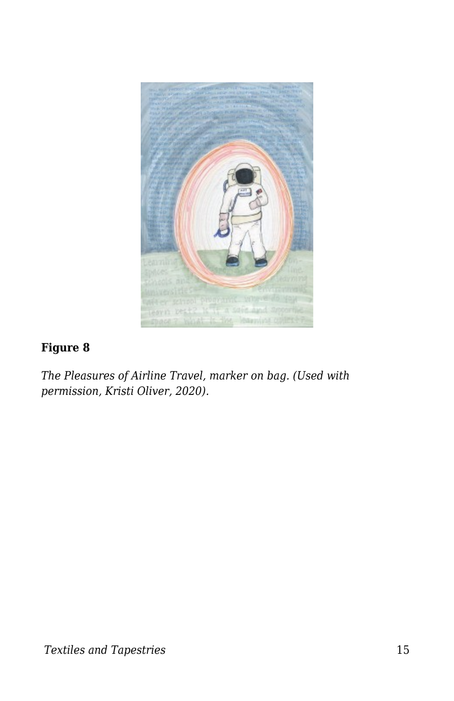

#### **Figure 8**

*The Pleasures of Airline Travel, marker on bag. (Used with permission, Kristi Oliver, 2020).*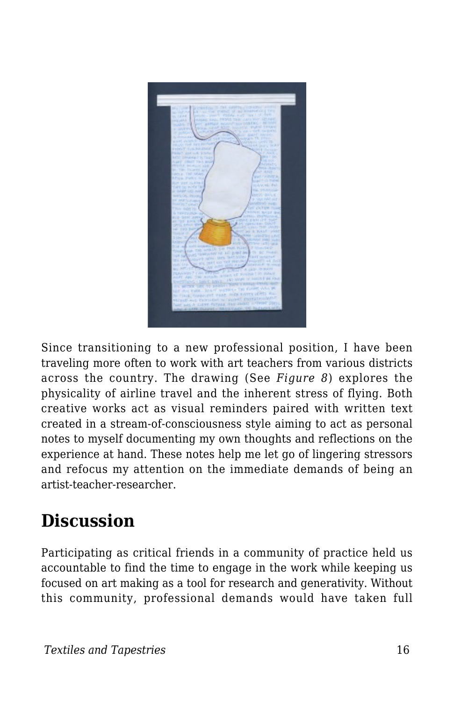

Since transitioning to a new professional position, I have been traveling more often to work with art teachers from various districts across the country. The drawing (See *Figure 8*) explores the physicality of airline travel and the inherent stress of flying. Both creative works act as visual reminders paired with written text created in a stream-of-consciousness style aiming to act as personal notes to myself documenting my own thoughts and reflections on the experience at hand. These notes help me let go of lingering stressors and refocus my attention on the immediate demands of being an artist-teacher-researcher.

## **Discussion**

Participating as critical friends in a community of practice held us accountable to find the time to engage in the work while keeping us focused on art making as a tool for research and generativity. Without this community, professional demands would have taken full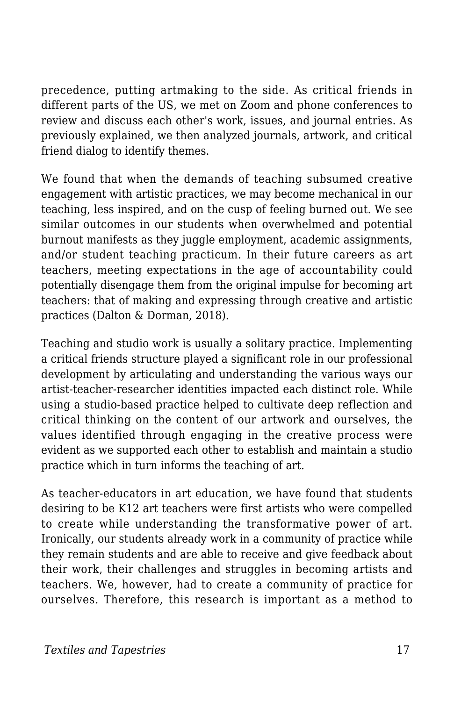precedence, putting artmaking to the side. As critical friends in different parts of the US, we met on Zoom and phone conferences to review and discuss each other's work, issues, and journal entries. As previously explained, we then analyzed journals, artwork, and critical friend dialog to identify themes.

We found that when the demands of teaching subsumed creative engagement with artistic practices, we may become mechanical in our teaching, less inspired, and on the cusp of feeling burned out. We see similar outcomes in our students when overwhelmed and potential burnout manifests as they juggle employment, academic assignments, and/or student teaching practicum. In their future careers as art teachers, meeting expectations in the age of accountability could potentially disengage them from the original impulse for becoming art teachers: that of making and expressing through creative and artistic practices (Dalton & Dorman, 2018).

Teaching and studio work is usually a solitary practice. Implementing a critical friends structure played a significant role in our professional development by articulating and understanding the various ways our artist-teacher-researcher identities impacted each distinct role. While using a studio-based practice helped to cultivate deep reflection and critical thinking on the content of our artwork and ourselves, the values identified through engaging in the creative process were evident as we supported each other to establish and maintain a studio practice which in turn informs the teaching of art.

As teacher-educators in art education, we have found that students desiring to be K12 art teachers were first artists who were compelled to create while understanding the transformative power of art. Ironically, our students already work in a community of practice while they remain students and are able to receive and give feedback about their work, their challenges and struggles in becoming artists and teachers. We, however, had to create a community of practice for ourselves. Therefore, this research is important as a method to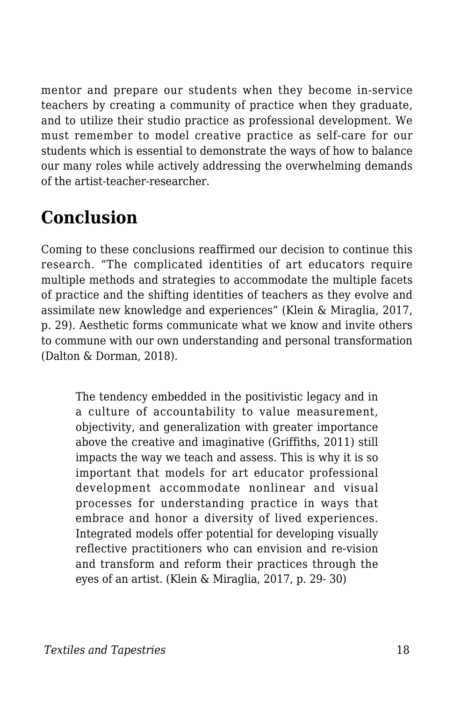mentor and prepare our students when they become in-service teachers by creating a community of practice when they graduate, and to utilize their studio practice as professional development. We must remember to model creative practice as self-care for our students which is essential to demonstrate the ways of how to balance our many roles while actively addressing the overwhelming demands of the artist-teacher-researcher.

## **Conclusion**

Coming to these conclusions reaffirmed our decision to continue this research. "The complicated identities of art educators require multiple methods and strategies to accommodate the multiple facets of practice and the shifting identities of teachers as they evolve and assimilate new knowledge and experiences" (Klein & Miraglia, 2017, p. 29). Aesthetic forms communicate what we know and invite others to commune with our own understanding and personal transformation (Dalton & Dorman, 2018).

The tendency embedded in the positivistic legacy and in a culture of accountability to value measurement, objectivity, and generalization with greater importance above the creative and imaginative (Griffiths, 2011) still impacts the way we teach and assess. This is why it is so important that models for art educator professional development accommodate nonlinear and visual processes for understanding practice in ways that embrace and honor a diversity of lived experiences. Integrated models offer potential for developing visually reflective practitioners who can envision and re-vision and transform and reform their practices through the eyes of an artist. (Klein & Miraglia, 2017, p. 29- 30)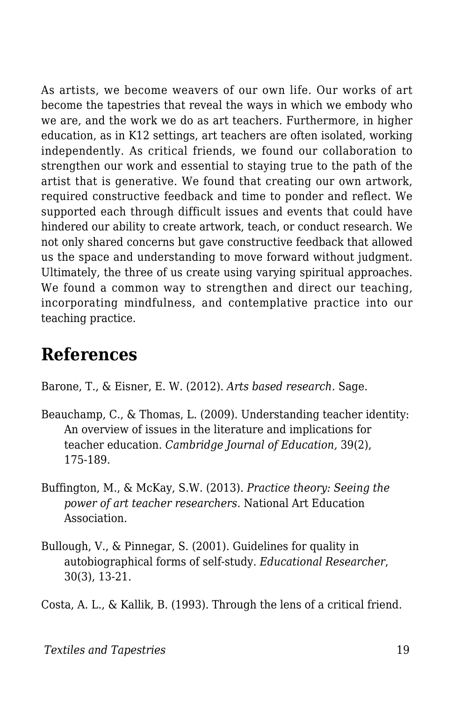As artists, we become weavers of our own life. Our works of art become the tapestries that reveal the ways in which we embody who we are, and the work we do as art teachers. Furthermore, in higher education, as in K12 settings, art teachers are often isolated, working independently. As critical friends, we found our collaboration to strengthen our work and essential to staying true to the path of the artist that is generative. We found that creating our own artwork, required constructive feedback and time to ponder and reflect. We supported each through difficult issues and events that could have hindered our ability to create artwork, teach, or conduct research. We not only shared concerns but gave constructive feedback that allowed us the space and understanding to move forward without judgment. Ultimately, the three of us create using varying spiritual approaches. We found a common way to strengthen and direct our teaching, incorporating mindfulness, and contemplative practice into our teaching practice.

### **References**

Barone, T., & Eisner, E. W. (2012). *Arts based research.* Sage.

- Beauchamp, C., & Thomas, L. (2009). Understanding teacher identity: An overview of issues in the literature and implications for teacher education. *Cambridge Journal of Education,* 39(2), 175-189.
- Buffington, M., & McKay, S.W. (2013). *Practice theory: Seeing the power of art teacher researchers.* National Art Education Association.
- Bullough, V., & Pinnegar, S. (2001). Guidelines for quality in autobiographical forms of self-study. *Educational Researcher*, 30(3), 13-21.

Costa, A. L., & Kallik, B. (1993). Through the lens of a critical friend.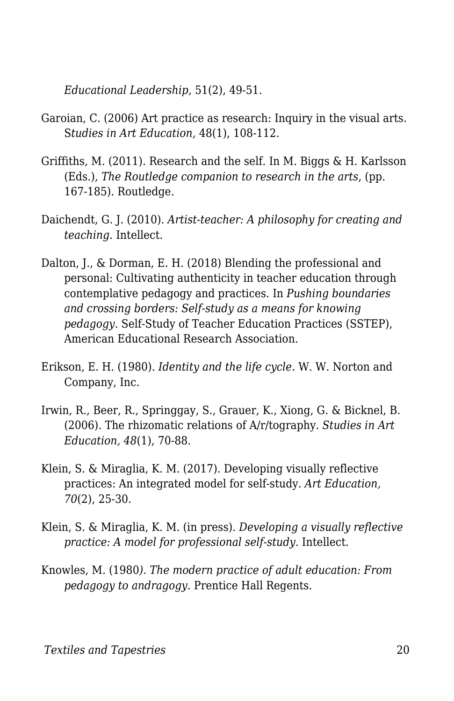*Educational Leadership,* 51(2), 49-51.

- Garoian, C. (2006) Art practice as research: Inquiry in the visual arts. S*tudies in Art Education,* 48(1), 108-112.
- Griffiths, M. (2011). Research and the self. In M. Biggs & H. Karlsson (Eds.), *The Routledge companion to research in the arts*, (pp. 167-185). Routledge.
- Daichendt, G. J. (2010). *Artist-teacher: A philosophy for creating and teaching.* Intellect.
- Dalton, J., & Dorman, E. H. (2018) Blending the professional and personal: Cultivating authenticity in teacher education through contemplative pedagogy and practices. In *Pushing boundaries and crossing borders: Self-study as a means for knowing pedagogy*. Self-Study of Teacher Education Practices (SSTEP), American Educational Research Association.
- Erikson, E. H. (1980). *Identity and the life cycle.* W. W. Norton and Company, Inc.
- Irwin, R., Beer, R., Springgay, S., Grauer, K., Xiong, G. & Bicknel, B. (2006). The rhizomatic relations of A/r/tography. *Studies in Art Education, 48*(1), 70-88.
- Klein, S. & Miraglia, K. M. (2017). Developing visually reflective practices: An integrated model for self-study. *Art Education, 70*(2), 25-30.
- Klein, S. & Miraglia, K. M. (in press). *Developing a visually reflective practice: A model for professional self-study*. Intellect.
- Knowles, M. (1980*). The modern practice of adult education: From pedagogy to andragogy.* Prentice Hall Regents.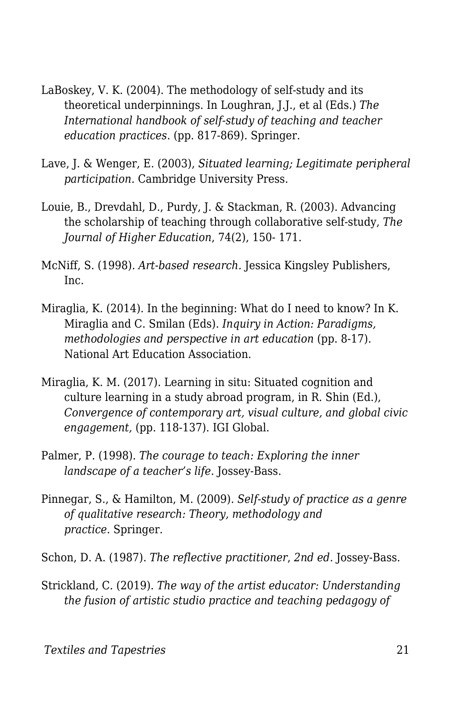- LaBoskey, V. K. (2004). The methodology of self-study and its theoretical underpinnings. In Loughran, J.J., et al (Eds.) *The International handbook of self-study of teaching and teacher education practices*. (pp. 817-869). Springer.
- Lave, J. & Wenger, E. (2003), *Situated learning; Legitimate peripheral participation.* Cambridge University Press.
- Louie, B., Drevdahl, D., Purdy, J. & Stackman, R. (2003). Advancing the scholarship of teaching through collaborative self-study, *The Journal of Higher Education*, 74(2), 150- 171.
- McNiff, S. (1998). *Art-based research.* Jessica Kingsley Publishers, Inc.
- Miraglia, K. (2014). In the beginning: What do I need to know? In K. Miraglia and C. Smilan (Eds). *Inquiry in Action: Paradigms, methodologies and perspective in art education (pp. 8-17).* National Art Education Association.
- Miraglia, K. M. (2017). Learning in situ: Situated cognition and culture learning in a study abroad program, in R. Shin (Ed.), *Convergence of contemporary art, visual culture, and global civic engagement,* (pp. 118-137). IGI Global.
- Palmer, P. (1998). *The courage to teach: Exploring the inner landscape of a teacher's life.* Jossey-Bass.
- Pinnegar, S., & Hamilton, M. (2009). *Self-study of practice as a genre of qualitative research: Theory, methodology and practice.* Springer.
- Schon, D. A. (1987). *The reflective practitioner*, *2nd ed.* Jossey-Bass.
- Strickland, C. (2019). *The way of the artist educator: Understanding the fusion of artistic studio practice and teaching pedagogy of*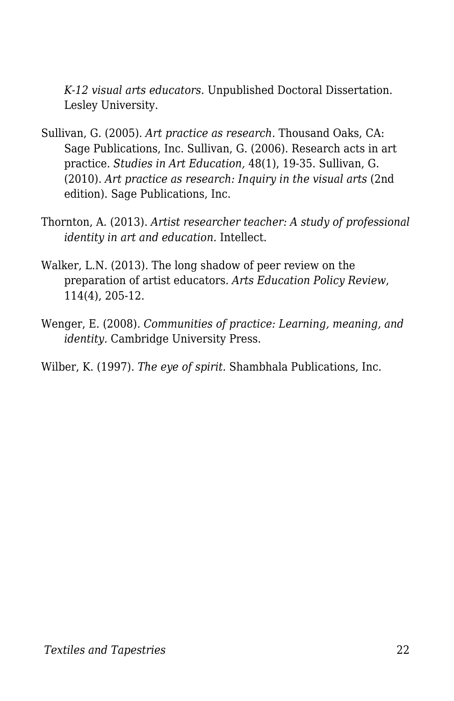*K-12 visual arts educators.* Unpublished Doctoral Dissertation. Lesley University.

- Sullivan, G. (2005). *Art practice as research.* Thousand Oaks, CA: Sage Publications, Inc. Sullivan, G. (2006). Research acts in art practice. *Studies in Art Education,* 48(1), 19-35. Sullivan, G. (2010). *Art practice as research: Inquiry in the visual arts* (2nd edition). Sage Publications, Inc.
- Thornton, A. (2013). *Artist researcher teacher: A study of professional identity in art and education.* Intellect.
- Walker, L.N. (2013). The long shadow of peer review on the preparation of artist educators. *Arts Education Policy Review*, 114(4), 205-12.
- Wenger, E. (2008). *Communities of practice: Learning, meaning, and identity.* Cambridge University Press.

Wilber, K. (1997). *The eye of spirit.* Shambhala Publications, Inc.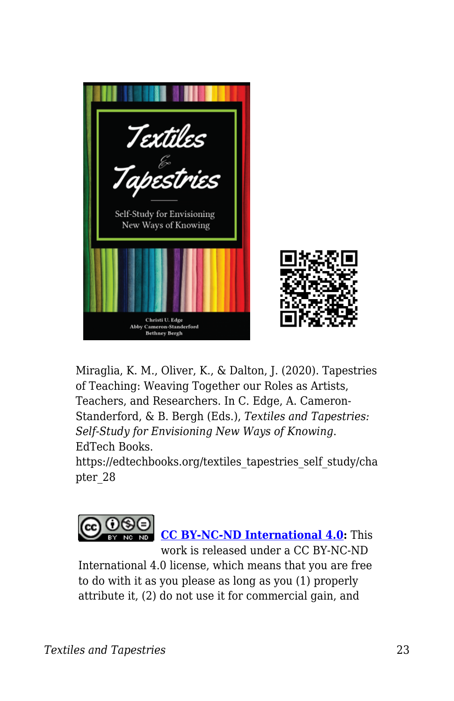

Miraglia, K. M., Oliver, K., & Dalton, J. (2020). Tapestries of Teaching: Weaving Together our Roles as Artists, Teachers, and Researchers. In C. Edge, A. Cameron-Standerford, & B. Bergh (Eds.), *Textiles and Tapestries: Self-Study for Envisioning New Ways of Knowing*. EdTech Books.

https://edtechbooks.org/textiles\_tapestries\_self\_study/cha pter\_28



International 4.0 license, which means that you are free to do with it as you please as long as you (1) properly attribute it, (2) do not use it for commercial gain, and